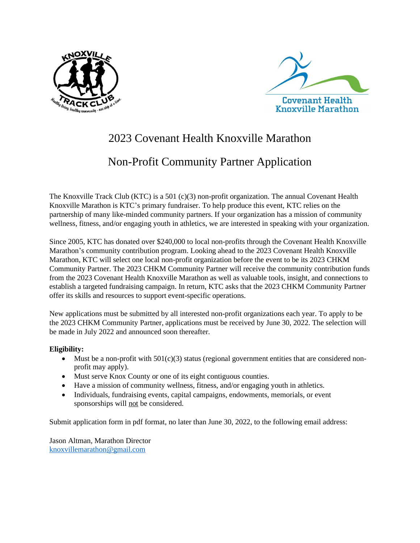



## 2023 Covenant Health Knoxville Marathon

## Non-Profit Community Partner Application

The Knoxville Track Club (KTC) is a 501 (c)(3) non-profit organization. The annual Covenant Health Knoxville Marathon is KTC's primary fundraiser. To help produce this event, KTC relies on the partnership of many like-minded community partners. If your organization has a mission of community wellness, fitness, and/or engaging youth in athletics, we are interested in speaking with your organization.

Since 2005, KTC has donated over \$240,000 to local non-profits through the Covenant Health Knoxville Marathon's community contribution program. Looking ahead to the 2023 Covenant Health Knoxville Marathon, KTC will select one local non-profit organization before the event to be its 2023 CHKM Community Partner. The 2023 CHKM Community Partner will receive the community contribution funds from the 2023 Covenant Health Knoxville Marathon as well as valuable tools, insight, and connections to establish a targeted fundraising campaign. In return, KTC asks that the 2023 CHKM Community Partner offer its skills and resources to support event-specific operations.

New applications must be submitted by all interested non-profit organizations each year. To apply to be the 2023 CHKM Community Partner, applications must be received by June 30, 2022. The selection will be made in July 2022 and announced soon thereafter.

## **Eligibility:**

- Must be a non-profit with  $501(c)(3)$  status (regional government entities that are considered nonprofit may apply).
- Must serve Knox County or one of its eight contiguous counties.
- Have a mission of community wellness, fitness, and/or engaging youth in athletics.
- Individuals, fundraising events, capital campaigns, endowments, memorials, or event sponsorships will not be considered.

Submit application form in pdf format, no later than June 30, 2022, to the following email address:

Jason Altman, Marathon Director [knoxvillemarathon@gmail.com](mailto:knoxvillemarathon@gmail.com)